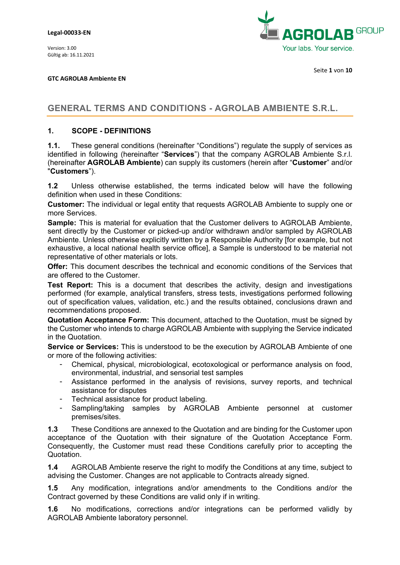

**GTC AGROLAB Ambiente EN**

# **GENERAL TERMS AND CONDITIONS - AGROLAB AMBIENTE S.R.L.**

### **1. SCOPE - DEFINITIONS**

**1.1.** These general conditions (hereinafter "Conditions") regulate the supply of services as identified in following (hereinafter "**Services**") that the company AGROLAB Ambiente S.r.l. (hereinafter **AGROLAB Ambiente**) can supply its customers (herein after "**Customer**" and/or "**Customers**").

**1.2** Unless otherwise established, the terms indicated below will have the following definition when used in these Conditions:

**Customer:** The individual or legal entity that requests AGROLAB Ambiente to supply one or more Services.

**Sample:** This is material for evaluation that the Customer delivers to AGROLAB Ambiente, sent directly by the Customer or picked-up and/or withdrawn and/or sampled by AGROLAB Ambiente. Unless otherwise explicitly written by a Responsible Authority [for example, but not exhaustive, a local national health service office], a Sample is understood to be material not representative of other materials or lots.

**Offer:** This document describes the technical and economic conditions of the Services that are offered to the Customer.

**Test Report:** This is a document that describes the activity, design and investigations performed (for example, analytical transfers, stress tests, investigations performed following out of specification values, validation, etc.) and the results obtained, conclusions drawn and recommendations proposed.

**Quotation Acceptance Form:** This document, attached to the Quotation, must be signed by the Customer who intends to charge AGROLAB Ambiente with supplying the Service indicated in the Quotation.

**Service or Services:** This is understood to be the execution by AGROLAB Ambiente of one or more of the following activities:

- Chemical, physical, microbiological, ecotoxological or performance analysis on food, environmental, industrial, and sensorial test samples
- Assistance performed in the analysis of revisions, survey reports, and technical assistance for disputes
- Technical assistance for product labeling.
- Sampling/taking samples by AGROLAB Ambiente personnel at customer premises/sites.

**1.3** These Conditions are annexed to the Quotation and are binding for the Customer upon acceptance of the Quotation with their signature of the Quotation Acceptance Form. Consequently, the Customer must read these Conditions carefully prior to accepting the Quotation.

**1.4** AGROLAB Ambiente reserve the right to modify the Conditions at any time, subject to advising the Customer. Changes are not applicable to Contracts already signed.

**1.5** Any modification, integrations and/or amendments to the Conditions and/or the Contract governed by these Conditions are valid only if in writing.

**1.6** No modifications, corrections and/or integrations can be performed validly by AGROLAB Ambiente laboratory personnel.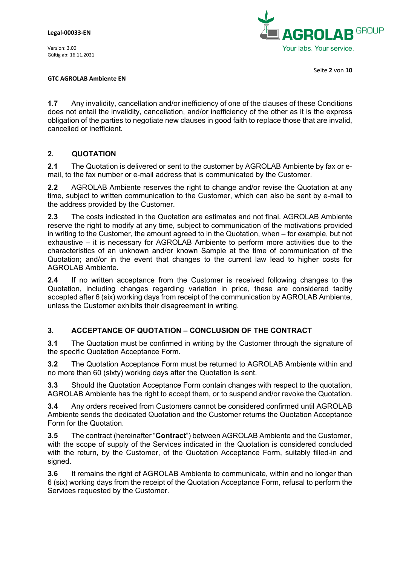

Seite **2** von **10**

#### **GTC AGROLAB Ambiente EN**

**1.7** Any invalidity, cancellation and/or inefficiency of one of the clauses of these Conditions does not entail the invalidity, cancellation, and/or inefficiency of the other as it is the express obligation of the parties to negotiate new clauses in good faith to replace those that are invalid, cancelled or inefficient.

# **2. QUOTATION**

**2.1** The Quotation is delivered or sent to the customer by AGROLAB Ambiente by fax or email, to the fax number or e-mail address that is communicated by the Customer.

**2.2** AGROLAB Ambiente reserves the right to change and/or revise the Quotation at any time, subject to written communication to the Customer, which can also be sent by e-mail to the address provided by the Customer.

**2.3** The costs indicated in the Quotation are estimates and not final. AGROLAB Ambiente reserve the right to modify at any time, subject to communication of the motivations provided in writing to the Customer, the amount agreed to in the Quotation, when – for example, but not exhaustive – it is necessary for AGROLAB Ambiente to perform more activities due to the characteristics of an unknown and/or known Sample at the time of communication of the Quotation; and/or in the event that changes to the current law lead to higher costs for AGROLAB Ambiente.

**2.4** If no written acceptance from the Customer is received following changes to the Quotation, including changes regarding variation in price, these are considered tacitly accepted after 6 (six) working days from receipt of the communication by AGROLAB Ambiente, unless the Customer exhibits their disagreement in writing.

### **3. ACCEPTANCE OF QUOTATION – CONCLUSION OF THE CONTRACT**

**3.1** The Quotation must be confirmed in writing by the Customer through the signature of the specific Quotation Acceptance Form.

**3.2** The Quotation Acceptance Form must be returned to AGROLAB Ambiente within and no more than 60 (sixty) working days after the Quotation is sent.

**3.3** Should the Quotation Acceptance Form contain changes with respect to the quotation, AGROLAB Ambiente has the right to accept them, or to suspend and/or revoke the Quotation.

**3.4** Any orders received from Customers cannot be considered confirmed until AGROLAB Ambiente sends the dedicated Quotation and the Customer returns the Quotation Acceptance Form for the Quotation.

**3.5** The contract (hereinafter "**Contract**") between AGROLAB Ambiente and the Customer, with the scope of supply of the Services indicated in the Quotation is considered concluded with the return, by the Customer, of the Quotation Acceptance Form, suitably filled-in and signed.

**3.6** It remains the right of AGROLAB Ambiente to communicate, within and no longer than 6 (six) working days from the receipt of the Quotation Acceptance Form, refusal to perform the Services requested by the Customer.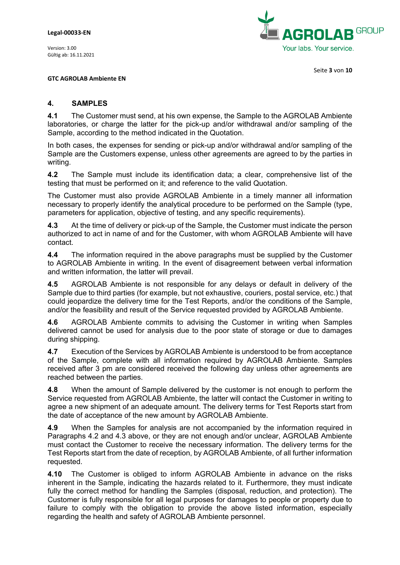

Seite **3** von **10**

**GTC AGROLAB Ambiente EN**

#### **4. SAMPLES**

**4.1** The Customer must send, at his own expense, the Sample to the AGROLAB Ambiente laboratories, or charge the latter for the pick-up and/or withdrawal and/or sampling of the Sample, according to the method indicated in the Quotation.

In both cases, the expenses for sending or pick-up and/or withdrawal and/or sampling of the Sample are the Customers expense, unless other agreements are agreed to by the parties in writing.

**4.2** The Sample must include its identification data; a clear, comprehensive list of the testing that must be performed on it; and reference to the valid Quotation.

The Customer must also provide AGROLAB Ambiente in a timely manner all information necessary to properly identify the analytical procedure to be performed on the Sample (type, parameters for application, objective of testing, and any specific requirements).

**4.3** At the time of delivery or pick-up of the Sample, the Customer must indicate the person authorized to act in name of and for the Customer, with whom AGROLAB Ambiente will have contact.

**4.4** The information required in the above paragraphs must be supplied by the Customer to AGROLAB Ambiente in writing. In the event of disagreement between verbal information and written information, the latter will prevail.

**4.5** AGROLAB Ambiente is not responsible for any delays or default in delivery of the Sample due to third parties (for example, but not exhaustive, couriers, postal service, etc.) that could jeopardize the delivery time for the Test Reports, and/or the conditions of the Sample, and/or the feasibility and result of the Service requested provided by AGROLAB Ambiente.

**4.6** AGROLAB Ambiente commits to advising the Customer in writing when Samples delivered cannot be used for analysis due to the poor state of storage or due to damages during shipping.

**4.7** Execution of the Services by AGROLAB Ambiente is understood to be from acceptance of the Sample, complete with all information required by AGROLAB Ambiente. Samples received after 3 pm are considered received the following day unless other agreements are reached between the parties.

**4.8** When the amount of Sample delivered by the customer is not enough to perform the Service requested from AGROLAB Ambiente, the latter will contact the Customer in writing to agree a new shipment of an adequate amount. The delivery terms for Test Reports start from the date of acceptance of the new amount by AGROLAB Ambiente.

**4.9** When the Samples for analysis are not accompanied by the information required in Paragraphs 4.2 and 4.3 above, or they are not enough and/or unclear, AGROLAB Ambiente must contact the Customer to receive the necessary information. The delivery terms for the Test Reports start from the date of reception, by AGROLAB Ambiente, of all further information requested.

**4.10** The Customer is obliged to inform AGROLAB Ambiente in advance on the risks inherent in the Sample, indicating the hazards related to it. Furthermore, they must indicate fully the correct method for handling the Samples (disposal, reduction, and protection). The Customer is fully responsible for all legal purposes for damages to people or property due to failure to comply with the obligation to provide the above listed information, especially regarding the health and safety of AGROLAB Ambiente personnel.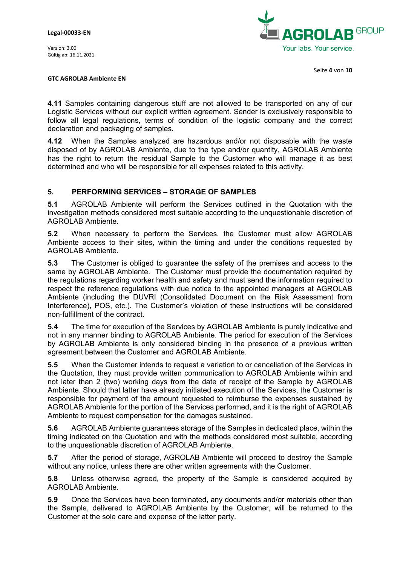

Seite **4** von **10**

#### **GTC AGROLAB Ambiente EN**

**4.11** Samples containing dangerous stuff are not allowed to be transported on any of our Logistic Services without our explicit written agreement. Sender is exclusively responsible to follow all legal regulations, terms of condition of the logistic company and the correct declaration and packaging of samples.

**4.12** When the Samples analyzed are hazardous and/or not disposable with the waste disposed of by AGROLAB Ambiente, due to the type and/or quantity, AGROLAB Ambiente has the right to return the residual Sample to the Customer who will manage it as best determined and who will be responsible for all expenses related to this activity.

### **5. PERFORMING SERVICES – STORAGE OF SAMPLES**

**5.1** AGROLAB Ambiente will perform the Services outlined in the Quotation with the investigation methods considered most suitable according to the unquestionable discretion of AGROLAB Ambiente.

**5.2** When necessary to perform the Services, the Customer must allow AGROLAB Ambiente access to their sites, within the timing and under the conditions requested by AGROLAB Ambiente.

**5.3** The Customer is obliged to guarantee the safety of the premises and access to the same by AGROLAB Ambiente. The Customer must provide the documentation required by the regulations regarding worker health and safety and must send the information required to respect the reference regulations with due notice to the appointed managers at AGROLAB Ambiente (including the DUVRI (Consolidated Document on the Risk Assessment from Interference), POS, etc.). The Customer's violation of these instructions will be considered non-fulfillment of the contract.

**5.4** The time for execution of the Services by AGROLAB Ambiente is purely indicative and not in any manner binding to AGROLAB Ambiente. The period for execution of the Services by AGROLAB Ambiente is only considered binding in the presence of a previous written agreement between the Customer and AGROLAB Ambiente.

**5.5** When the Customer intends to request a variation to or cancellation of the Services in the Quotation, they must provide written communication to AGROLAB Ambiente within and not later than 2 (two) working days from the date of receipt of the Sample by AGROLAB Ambiente. Should that latter have already initiated execution of the Services, the Customer is responsible for payment of the amount requested to reimburse the expenses sustained by AGROLAB Ambiente for the portion of the Services performed, and it is the right of AGROLAB Ambiente to request compensation for the damages sustained.

**5.6** AGROLAB Ambiente guarantees storage of the Samples in dedicated place, within the timing indicated on the Quotation and with the methods considered most suitable, according to the unquestionable discretion of AGROLAB Ambiente.

**5.7** After the period of storage, AGROLAB Ambiente will proceed to destroy the Sample without any notice, unless there are other written agreements with the Customer.

**5.8** Unless otherwise agreed, the property of the Sample is considered acquired by AGROLAB Ambiente.

**5.9** Once the Services have been terminated, any documents and/or materials other than the Sample, delivered to AGROLAB Ambiente by the Customer, will be returned to the Customer at the sole care and expense of the latter party.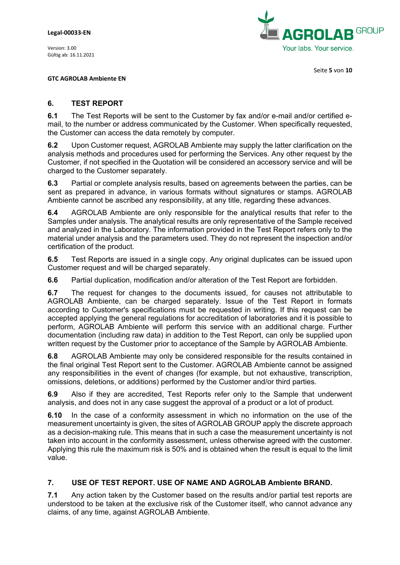

Seite **5** von **10**

**GTC AGROLAB Ambiente EN**

### **6. TEST REPORT**

**6.1** The Test Reports will be sent to the Customer by fax and/or e-mail and/or certified email, to the number or address communicated by the Customer. When specifically requested, the Customer can access the data remotely by computer.

**6.2** Upon Customer request, AGROLAB Ambiente may supply the latter clarification on the analysis methods and procedures used for performing the Services. Any other request by the Customer, if not specified in the Quotation will be considered an accessory service and will be charged to the Customer separately.

**6.3** Partial or complete analysis results, based on agreements between the parties, can be sent as prepared in advance, in various formats without signatures or stamps. AGROLAB Ambiente cannot be ascribed any responsibility, at any title, regarding these advances.

**6.4** AGROLAB Ambiente are only responsible for the analytical results that refer to the Samples under analysis. The analytical results are only representative of the Sample received and analyzed in the Laboratory. The information provided in the Test Report refers only to the material under analysis and the parameters used. They do not represent the inspection and/or certification of the product.

**6.5** Test Reports are issued in a single copy. Any original duplicates can be issued upon Customer request and will be charged separately.

**6.6** Partial duplication, modification and/or alteration of the Test Report are forbidden.

**6.7** The request for changes to the documents issued, for causes not attributable to AGROLAB Ambiente, can be charged separately. Issue of the Test Report in formats according to Customer's specifications must be requested in writing. If this request can be accepted applying the general regulations for accreditation of laboratories and it is possible to perform, AGROLAB Ambiente will perform this service with an additional charge. Further documentation (including raw data) in addition to the Test Report, can only be supplied upon written request by the Customer prior to acceptance of the Sample by AGROLAB Ambiente.

**6.8** AGROLAB Ambiente may only be considered responsible for the results contained in the final original Test Report sent to the Customer. AGROLAB Ambiente cannot be assigned any responsibilities in the event of changes (for example, but not exhaustive, transcription, omissions, deletions, or additions) performed by the Customer and/or third parties.

**6.9** Also if they are accredited, Test Reports refer only to the Sample that underwent analysis, and does not in any case suggest the approval of a product or a lot of product.

**6.10** In the case of a conformity assessment in which no information on the use of the measurement uncertainty is given, the sites of AGROLAB GROUP apply the discrete approach as a decision-making rule. This means that in such a case the measurement uncertainty is not taken into account in the conformity assessment, unless otherwise agreed with the customer. Applying this rule the maximum risk is 50% and is obtained when the result is equal to the limit value.

# **7. USE OF TEST REPORT. USE OF NAME AND AGROLAB Ambiente BRAND.**

**7.1** Any action taken by the Customer based on the results and/or partial test reports are understood to be taken at the exclusive risk of the Customer itself, who cannot advance any claims, of any time, against AGROLAB Ambiente.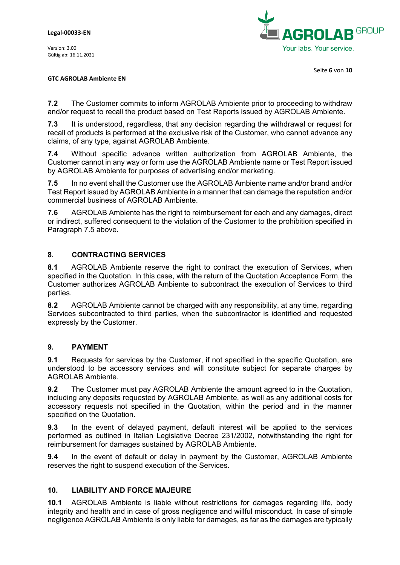

Seite **6** von **10**

#### **GTC AGROLAB Ambiente EN**

**7.2** The Customer commits to inform AGROLAB Ambiente prior to proceeding to withdraw and/or request to recall the product based on Test Reports issued by AGROLAB Ambiente.

**7.3** It is understood, regardless, that any decision regarding the withdrawal or request for recall of products is performed at the exclusive risk of the Customer, who cannot advance any claims, of any type, against AGROLAB Ambiente.

**7.4** Without specific advance written authorization from AGROLAB Ambiente, the Customer cannot in any way or form use the AGROLAB Ambiente name or Test Report issued by AGROLAB Ambiente for purposes of advertising and/or marketing.

**7.5** In no event shall the Customer use the AGROLAB Ambiente name and/or brand and/or Test Report issued by AGROLAB Ambiente in a manner that can damage the reputation and/or commercial business of AGROLAB Ambiente.

**7.6** AGROLAB Ambiente has the right to reimbursement for each and any damages, direct or indirect, suffered consequent to the violation of the Customer to the prohibition specified in Paragraph 7.5 above.

# **8. CONTRACTING SERVICES**

**8.1** AGROLAB Ambiente reserve the right to contract the execution of Services, when specified in the Quotation. In this case, with the return of the Quotation Acceptance Form, the Customer authorizes AGROLAB Ambiente to subcontract the execution of Services to third parties.

**8.2** AGROLAB Ambiente cannot be charged with any responsibility, at any time, regarding Services subcontracted to third parties, when the subcontractor is identified and requested expressly by the Customer.

### **9. PAYMENT**

**9.1** Requests for services by the Customer, if not specified in the specific Quotation, are understood to be accessory services and will constitute subject for separate charges by AGROLAB Ambiente.

**9.2** The Customer must pay AGROLAB Ambiente the amount agreed to in the Quotation, including any deposits requested by AGROLAB Ambiente, as well as any additional costs for accessory requests not specified in the Quotation, within the period and in the manner specified on the Quotation.

**9.3** In the event of delayed payment, default interest will be applied to the services performed as outlined in Italian Legislative Decree 231/2002, notwithstanding the right for reimbursement for damages sustained by AGROLAB Ambiente.

**9.4** In the event of default or delay in payment by the Customer, AGROLAB Ambiente reserves the right to suspend execution of the Services.

### **10. LIABILITY AND FORCE MAJEURE**

**10.1** AGROLAB Ambiente is liable without restrictions for damages regarding life, body integrity and health and in case of gross negligence and willful misconduct. In case of simple negligence AGROLAB Ambiente is only liable for damages, as far as the damages are typically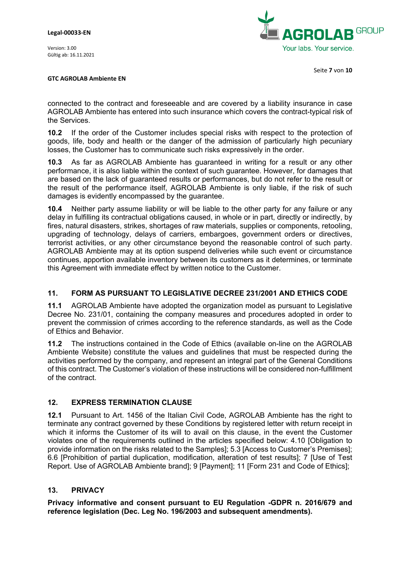

Seite **7** von **10**

#### **GTC AGROLAB Ambiente EN**

connected to the contract and foreseeable and are covered by a liability insurance in case AGROLAB Ambiente has entered into such insurance which covers the contract-typical risk of the Services.

**10.2** If the order of the Customer includes special risks with respect to the protection of goods, life, body and health or the danger of the admission of particularly high pecuniary losses, the Customer has to communicate such risks expressively in the order.

**10.3** As far as AGROLAB Ambiente has guaranteed in writing for a result or any other performance, it is also liable within the context of such guarantee. However, for damages that are based on the lack of guaranteed results or performances, but do not refer to the result or the result of the performance itself, AGROLAB Ambiente is only liable, if the risk of such damages is evidently encompassed by the guarantee.

**10.4** Neither party assume liability or will be liable to the other party for any failure or any delay in fulfilling its contractual obligations caused, in whole or in part, directly or indirectly, by fires, natural disasters, strikes, shortages of raw materials, supplies or components, retooling, upgrading of technology, delays of carriers, embargoes, government orders or directives, terrorist activities, or any other circumstance beyond the reasonable control of such party. AGROLAB Ambiente may at its option suspend deliveries while such event or circumstance continues, apportion available inventory between its customers as it determines, or terminate this Agreement with immediate effect by written notice to the Customer.

# **11. FORM AS PURSUANT TO LEGISLATIVE DECREE 231/2001 AND ETHICS CODE**

**11.1** AGROLAB Ambiente have adopted the organization model as pursuant to Legislative Decree No. 231/01, containing the company measures and procedures adopted in order to prevent the commission of crimes according to the reference standards, as well as the Code of Ethics and Behavior.

**11.2** The instructions contained in the Code of Ethics (available on-line on the AGROLAB Ambiente Website) constitute the values and guidelines that must be respected during the activities performed by the company, and represent an integral part of the General Conditions of this contract. The Customer's violation of these instructions will be considered non-fulfillment of the contract.

# **12. EXPRESS TERMINATION CLAUSE**

**12.1** Pursuant to Art. 1456 of the Italian Civil Code, AGROLAB Ambiente has the right to terminate any contract governed by these Conditions by registered letter with return receipt in which it informs the Customer of its will to avail on this clause, in the event the Customer violates one of the requirements outlined in the articles specified below: 4.10 [Obligation to provide information on the risks related to the Samples]; 5.3 [Access to Customer's Premises]; 6.6 [Prohibition of partial duplication, modification, alteration of test results]; 7 [Use of Test Report. Use of AGROLAB Ambiente brand]; 9 [Payment]; 11 [Form 231 and Code of Ethics];

### **13. PRIVACY**

**Privacy informative and consent pursuant to EU Regulation -GDPR n. 2016/679 and reference legislation (Dec. Leg No. 196/2003 and subsequent amendments).**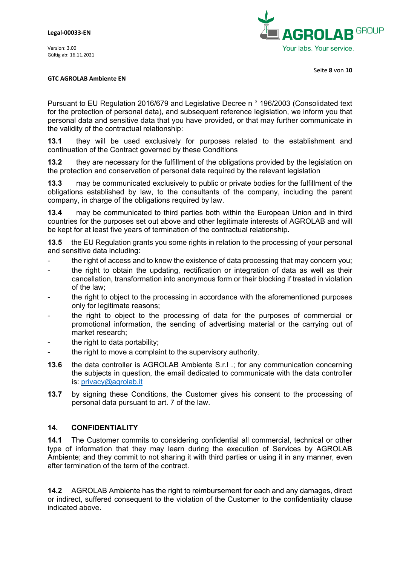

#### **GTC AGROLAB Ambiente EN**

Pursuant to EU Regulation 2016/679 and Legislative Decree n ° 196/2003 (Consolidated text for the protection of personal data), and subsequent reference legislation, we inform you that personal data and sensitive data that you have provided, or that may further communicate in the validity of the contractual relationship:

**13.1** they will be used exclusively for purposes related to the establishment and continuation of the Contract governed by these Conditions

**13.2** they are necessary for the fulfillment of the obligations provided by the legislation on the protection and conservation of personal data required by the relevant legislation

**13.3** may be communicated exclusively to public or private bodies for the fulfillment of the obligations established by law, to the consultants of the company, including the parent company, in charge of the obligations required by law.

**13.4** may be communicated to third parties both within the European Union and in third countries for the purposes set out above and other legitimate interests of AGROLAB and will be kept for at least five years of termination of the contractual relationship**.** 

**13.5** the EU Regulation grants you some rights in relation to the processing of your personal and sensitive data including:

- the right of access and to know the existence of data processing that may concern you;
- the right to obtain the updating, rectification or integration of data as well as their cancellation, transformation into anonymous form or their blocking if treated in violation of the law;
- the right to object to the processing in accordance with the aforementioned purposes only for legitimate reasons;
- the right to object to the processing of data for the purposes of commercial or promotional information, the sending of advertising material or the carrying out of market research;
- the right to data portability;
- the right to move a complaint to the supervisory authority.
- **13.6** the data controller is AGROLAB Ambiente S.r.l .; for any communication concerning the subjects in question, the email dedicated to communicate with the data controller is: [privacy@agrolab.it](mailto:privacy@agrolab.it)
- **13.7** by signing these Conditions, the Customer gives his consent to the processing of personal data pursuant to art. 7 of the law.

### **14. CONFIDENTIALITY**

**14.1** The Customer commits to considering confidential all commercial, technical or other type of information that they may learn during the execution of Services by AGROLAB Ambiente; and they commit to not sharing it with third parties or using it in any manner, even after termination of the term of the contract.

**14.2** AGROLAB Ambiente has the right to reimbursement for each and any damages, direct or indirect, suffered consequent to the violation of the Customer to the confidentiality clause indicated above.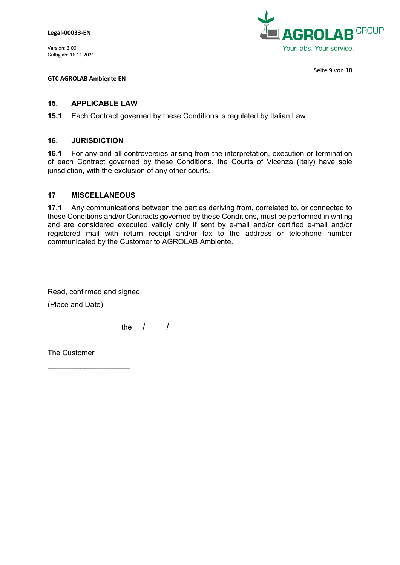**Legal-00033-EN**

Version: 3.00 Gültig ab: 16.11.2021



Seite **9** von **10**

**GTC AGROLAB Ambiente EN**

#### **15. APPLICABLE LAW**

**15.1** Each Contract governed by these Conditions is regulated by Italian Law.

#### **16. JURISDICTION**

**16.1** For any and all controversies arising from the interpretation, execution or termination of each Contract governed by these Conditions, the Courts of Vicenza (Italy) have sole jurisdiction, with the exclusion of any other courts.

#### **17 MISCELLANEOUS**

**17.1** Any communications between the parties deriving from, correlated to, or connected to these Conditions and/or Contracts governed by these Conditions, must be performed in writing and are considered executed validly only if sent by e-mail and/or certified e-mail and/or registered mail with return receipt and/or fax to the address or telephone number communicated by the Customer to AGROLAB Ambiente.

Read, confirmed and signed

(Place and Date)

the  $\frac{1}{2}$  /

The Customer

\_\_\_\_\_\_\_\_\_\_\_\_\_\_\_\_\_\_\_\_